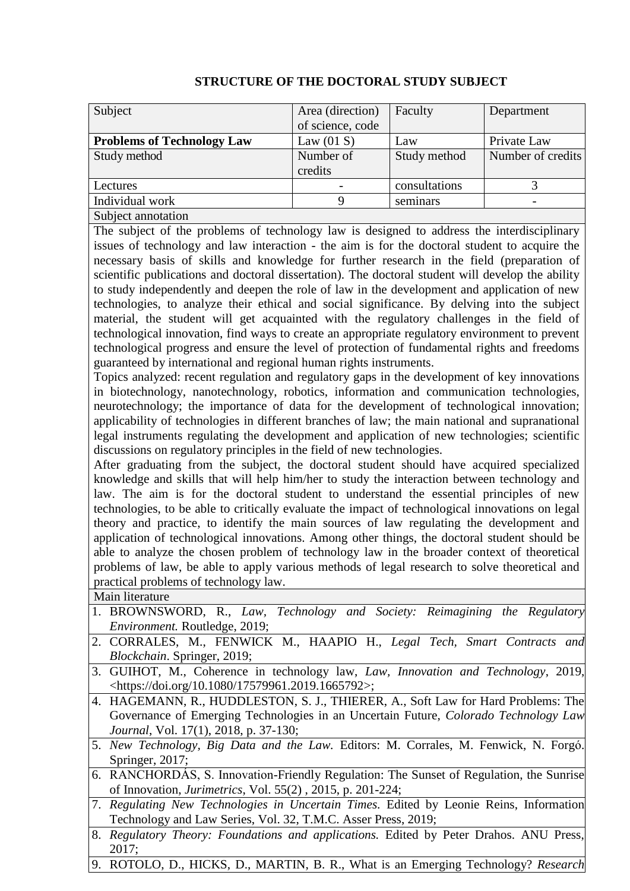| Subject                                                                                                                                                                                                                                                                                                                                                                                                                                                                                                                                                                                                                                                                                                                                                                                                                                                                                                                                                                                                                                                                                                                                                                                                                                                                                                                                                                                                                                                                                                                                                                                                                                                                                                                                                                                                                                                                                                                                                                                                                                                                                                                                                                                                                                                                                                                                                                              | Area (direction)                 | Faculty       | Department        |  |
|--------------------------------------------------------------------------------------------------------------------------------------------------------------------------------------------------------------------------------------------------------------------------------------------------------------------------------------------------------------------------------------------------------------------------------------------------------------------------------------------------------------------------------------------------------------------------------------------------------------------------------------------------------------------------------------------------------------------------------------------------------------------------------------------------------------------------------------------------------------------------------------------------------------------------------------------------------------------------------------------------------------------------------------------------------------------------------------------------------------------------------------------------------------------------------------------------------------------------------------------------------------------------------------------------------------------------------------------------------------------------------------------------------------------------------------------------------------------------------------------------------------------------------------------------------------------------------------------------------------------------------------------------------------------------------------------------------------------------------------------------------------------------------------------------------------------------------------------------------------------------------------------------------------------------------------------------------------------------------------------------------------------------------------------------------------------------------------------------------------------------------------------------------------------------------------------------------------------------------------------------------------------------------------------------------------------------------------------------------------------------------------|----------------------------------|---------------|-------------------|--|
| <b>Problems of Technology Law</b>                                                                                                                                                                                                                                                                                                                                                                                                                                                                                                                                                                                                                                                                                                                                                                                                                                                                                                                                                                                                                                                                                                                                                                                                                                                                                                                                                                                                                                                                                                                                                                                                                                                                                                                                                                                                                                                                                                                                                                                                                                                                                                                                                                                                                                                                                                                                                    | of science, code<br>Law $(01 S)$ | Law           | Private Law       |  |
| Study method                                                                                                                                                                                                                                                                                                                                                                                                                                                                                                                                                                                                                                                                                                                                                                                                                                                                                                                                                                                                                                                                                                                                                                                                                                                                                                                                                                                                                                                                                                                                                                                                                                                                                                                                                                                                                                                                                                                                                                                                                                                                                                                                                                                                                                                                                                                                                                         | Number of                        | Study method  | Number of credits |  |
|                                                                                                                                                                                                                                                                                                                                                                                                                                                                                                                                                                                                                                                                                                                                                                                                                                                                                                                                                                                                                                                                                                                                                                                                                                                                                                                                                                                                                                                                                                                                                                                                                                                                                                                                                                                                                                                                                                                                                                                                                                                                                                                                                                                                                                                                                                                                                                                      | credits                          |               |                   |  |
| Lectures                                                                                                                                                                                                                                                                                                                                                                                                                                                                                                                                                                                                                                                                                                                                                                                                                                                                                                                                                                                                                                                                                                                                                                                                                                                                                                                                                                                                                                                                                                                                                                                                                                                                                                                                                                                                                                                                                                                                                                                                                                                                                                                                                                                                                                                                                                                                                                             |                                  | consultations | 3                 |  |
| Individual work                                                                                                                                                                                                                                                                                                                                                                                                                                                                                                                                                                                                                                                                                                                                                                                                                                                                                                                                                                                                                                                                                                                                                                                                                                                                                                                                                                                                                                                                                                                                                                                                                                                                                                                                                                                                                                                                                                                                                                                                                                                                                                                                                                                                                                                                                                                                                                      | 9                                | seminars      |                   |  |
|                                                                                                                                                                                                                                                                                                                                                                                                                                                                                                                                                                                                                                                                                                                                                                                                                                                                                                                                                                                                                                                                                                                                                                                                                                                                                                                                                                                                                                                                                                                                                                                                                                                                                                                                                                                                                                                                                                                                                                                                                                                                                                                                                                                                                                                                                                                                                                                      |                                  |               |                   |  |
| Subject annotation<br>The subject of the problems of technology law is designed to address the interdisciplinary<br>issues of technology and law interaction - the aim is for the doctoral student to acquire the<br>necessary basis of skills and knowledge for further research in the field (preparation of<br>scientific publications and doctoral dissertation). The doctoral student will develop the ability<br>to study independently and deepen the role of law in the development and application of new<br>technologies, to analyze their ethical and social significance. By delving into the subject<br>material, the student will get acquainted with the regulatory challenges in the field of<br>technological innovation, find ways to create an appropriate regulatory environment to prevent<br>technological progress and ensure the level of protection of fundamental rights and freedoms<br>guaranteed by international and regional human rights instruments.<br>Topics analyzed: recent regulation and regulatory gaps in the development of key innovations<br>in biotechnology, nanotechnology, robotics, information and communication technologies,<br>neurotechnology; the importance of data for the development of technological innovation;<br>applicability of technologies in different branches of law; the main national and supranational<br>legal instruments regulating the development and application of new technologies; scientific<br>discussions on regulatory principles in the field of new technologies.<br>After graduating from the subject, the doctoral student should have acquired specialized<br>knowledge and skills that will help him/her to study the interaction between technology and<br>law. The aim is for the doctoral student to understand the essential principles of new<br>technologies, to be able to critically evaluate the impact of technological innovations on legal<br>theory and practice, to identify the main sources of law regulating the development and<br>application of technological innovations. Among other things, the doctoral student should be<br>able to analyze the chosen problem of technology law in the broader context of theoretical<br>problems of law, be able to apply various methods of legal research to solve theoretical and<br>practical problems of technology law. |                                  |               |                   |  |
| 1. BROWNSWORD, R., Law, Technology and Society: Reimagining the Regulatory<br><i>Environment.</i> Routledge, 2019;<br>2. CORRALES, M., FENWICK M., HAAPIO H., Legal Tech, Smart Contracts and                                                                                                                                                                                                                                                                                                                                                                                                                                                                                                                                                                                                                                                                                                                                                                                                                                                                                                                                                                                                                                                                                                                                                                                                                                                                                                                                                                                                                                                                                                                                                                                                                                                                                                                                                                                                                                                                                                                                                                                                                                                                                                                                                                                        |                                  |               |                   |  |
| Blockchain. Springer, 2019;                                                                                                                                                                                                                                                                                                                                                                                                                                                                                                                                                                                                                                                                                                                                                                                                                                                                                                                                                                                                                                                                                                                                                                                                                                                                                                                                                                                                                                                                                                                                                                                                                                                                                                                                                                                                                                                                                                                                                                                                                                                                                                                                                                                                                                                                                                                                                          |                                  |               |                   |  |
| 3. GUIHOT, M., Coherence in technology law, Law, Innovation and Technology, 2019,<br><https: 10.1080="" 17579961.2019.1665792="" doi.org="">;</https:>                                                                                                                                                                                                                                                                                                                                                                                                                                                                                                                                                                                                                                                                                                                                                                                                                                                                                                                                                                                                                                                                                                                                                                                                                                                                                                                                                                                                                                                                                                                                                                                                                                                                                                                                                                                                                                                                                                                                                                                                                                                                                                                                                                                                                               |                                  |               |                   |  |
| 4. HAGEMANN, R., HUDDLESTON, S. J., THIERER, A., Soft Law for Hard Problems: The<br>Governance of Emerging Technologies in an Uncertain Future, Colorado Technology Law<br><i>Journal</i> , Vol. 17(1), 2018, p. 37-130;                                                                                                                                                                                                                                                                                                                                                                                                                                                                                                                                                                                                                                                                                                                                                                                                                                                                                                                                                                                                                                                                                                                                                                                                                                                                                                                                                                                                                                                                                                                                                                                                                                                                                                                                                                                                                                                                                                                                                                                                                                                                                                                                                             |                                  |               |                   |  |
| 5. New Technology, Big Data and the Law. Editors: M. Corrales, M. Fenwick, N. Forgó.<br>Springer, 2017;                                                                                                                                                                                                                                                                                                                                                                                                                                                                                                                                                                                                                                                                                                                                                                                                                                                                                                                                                                                                                                                                                                                                                                                                                                                                                                                                                                                                                                                                                                                                                                                                                                                                                                                                                                                                                                                                                                                                                                                                                                                                                                                                                                                                                                                                              |                                  |               |                   |  |
| 6. RANCHORDAS, S. Innovation-Friendly Regulation: The Sunset of Regulation, the Sunrise<br>of Innovation, <i>Jurimetrics</i> , Vol. 55(2), 2015, p. 201-224;                                                                                                                                                                                                                                                                                                                                                                                                                                                                                                                                                                                                                                                                                                                                                                                                                                                                                                                                                                                                                                                                                                                                                                                                                                                                                                                                                                                                                                                                                                                                                                                                                                                                                                                                                                                                                                                                                                                                                                                                                                                                                                                                                                                                                         |                                  |               |                   |  |

## **STRUCTURE OF THE DOCTORAL STUDY SUBJECT**

7. *Regulating New Technologies in Uncertain Times.* Edited by Leonie Reins, Information Technology and Law Series, Vol. 32, T.M.C. Asser Press, 2019;

- 8. *Regulatory Theory: Foundations and applications.* Edited by Peter Drahos. ANU Press, 2017;
- 9. ROTOLO, D., HICKS, D., MARTIN, B. R., What is an Emerging Technology? *Research*